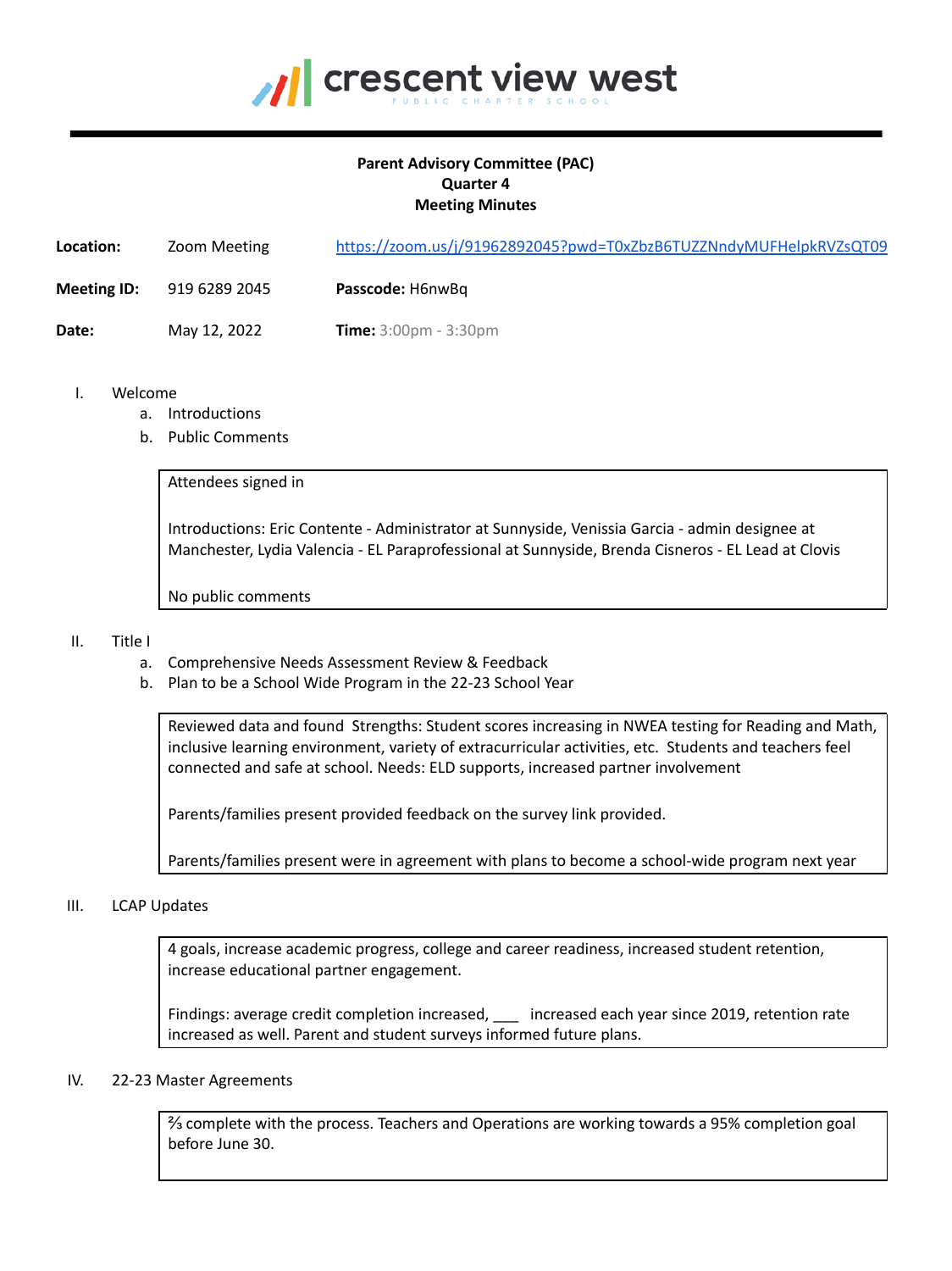

# **Parent Advisory Committee (PAC) Quarter 4 Meeting Minutes**

| Location:          | Zoom Meeting  | https://zoom.us/j/91962892045?pwd=T0xZbzB6TUZZNndyMUFHelpkRVZsQT09 |
|--------------------|---------------|--------------------------------------------------------------------|
| <b>Meeting ID:</b> | 919 6289 2045 | Passcode: H6nwBq                                                   |
| Date:              | May 12, 2022  | <b>Time:</b> $3:00 \text{pm} - 3:30 \text{pm}$                     |

- I. Welcome
	- a. Introductions
	- b. Public Comments

Attendees signed in

Introductions: Eric Contente - Administrator at Sunnyside, Venissia Garcia - admin designee at Manchester, Lydia Valencia - EL Paraprofessional at Sunnyside, Brenda Cisneros - EL Lead at Clovis

No public comments

### II. Title I

- a. Comprehensive Needs Assessment Review & Feedback
- b. Plan to be a School Wide Program in the 22-23 School Year

Reviewed data and found Strengths: Student scores increasing in NWEA testing for Reading and Math, inclusive learning environment, variety of extracurricular activities, etc. Students and teachers feel connected and safe at school. Needs: ELD supports, increased partner involvement

Parents/families present provided feedback on the survey link provided.

Parents/families present were in agreement with plans to become a school-wide program next year

### III. LCAP Updates

4 goals, increase academic progress, college and career readiness, increased student retention, increase educational partner engagement.

Findings: average credit completion increased, \_\_\_ increased each year since 2019, retention rate increased as well. Parent and student surveys informed future plans.

### IV. 22-23 Master Agreements

⅔ complete with the process. Teachers and Operations are working towards a 95% completion goal before June 30.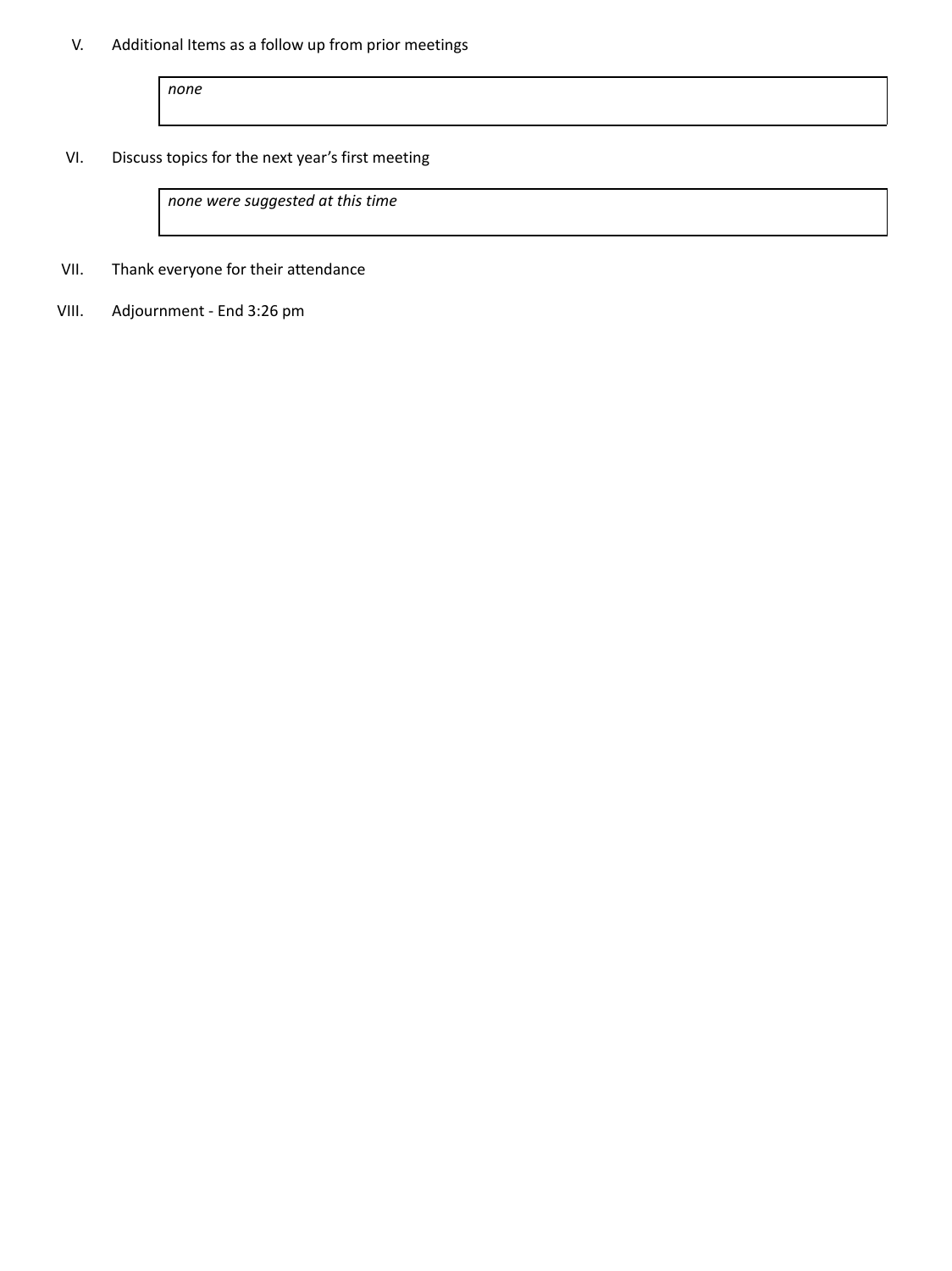# V. Additional Items as a follow up from prior meetings

*none*

VI. Discuss topics for the next year's first meeting

*none were suggested at this time*

VII. Thank everyone for their attendance

VIII. Adjournment - End 3:26 pm